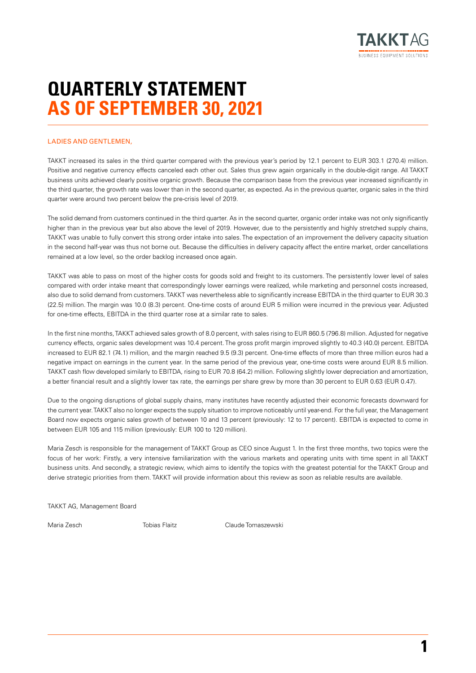

**1**

# **QUARTERLY STATEMENT AS OF SEPTEMBER 30, 2021**

#### LADIES AND GENTLEMEN

TAKKT increased its sales in the third quarter compared with the previous year's period by 12.1 percent to EUR 303.1 (270.4) million. Positive and negative currency effects canceled each other out. Sales thus grew again organically in the double-digit range. All TAKKT business units achieved clearly positive organic growth. Because the comparison base from the previous year increased significantly in the third quarter, the growth rate was lower than in the second quarter, as expected. As in the previous quarter, organic sales in the third quarter were around two percent below the pre-crisis level of 2019.

The solid demand from customers continued in the third quarter. As in the second quarter, organic order intake was not only significantly higher than in the previous year but also above the level of 2019. However, due to the persistently and highly stretched supply chains, TAKKT was unable to fully convert this strong order intake into sales. The expectation of an improvement the delivery capacity situation in the second half-year was thus not borne out. Because the difficulties in delivery capacity affect the entire market, order cancellations remained at a low level, so the order backlog increased once again.

TAKKT was able to pass on most of the higher costs for goods sold and freight to its customers. The persistently lower level of sales compared with order intake meant that correspondingly lower earnings were realized, while marketing and personnel costs increased, also due to solid demand from customers. TAKKT was nevertheless able to significantly increase EBITDA in the third quarter to EUR 30.3 (22.5) million. The margin was 10.0 (8.3) percent. One-time costs of around EUR 5 million were incurred in the previous year. Adjusted for one-time effects, EBITDA in the third quarter rose at a similar rate to sales.

In the first nine months, TAKKT achieved sales growth of 8.0 percent, with sales rising to EUR 860.5 (796.8) million. Adjusted for negative currency effects, organic sales development was 10.4 percent. The gross profit margin improved slightly to 40.3 (40.0) percent. EBITDA increased to EUR 82.1 (74.1) million, and the margin reached 9.5 (9.3) percent. One-time effects of more than three million euros had a negative impact on earnings in the current year. In the same period of the previous year, one-time costs were around EUR 8.5 million. TAKKT cash flow developed similarly to EBITDA, rising to EUR 70.8 (64.2) million. Following slightly lower depreciation and amortization, a better financial result and a slightly lower tax rate, the earnings per share grew by more than 30 percent to EUR 0.63 (EUR 0.47).

Due to the ongoing disruptions of global supply chains, many institutes have recently adjusted their economic forecasts downward for the current year. TAKKT also no longer expects the supply situation to improve noticeably until year-end. For the full year, the Management Board now expects organic sales growth of between 10 and 13 percent (previously: 12 to 17 percent). EBITDA is expected to come in between EUR 105 and 115 million (previously: EUR 100 to 120 million).

Maria Zesch is responsible for the management of TAKKT Group as CEO since August 1. In the first three months, two topics were the focus of her work: Firstly, a very intensive familiarization with the various markets and operating units with time spent in all TAKKT business units. And secondly, a strategic review, which aims to identify the topics with the greatest potential for the TAKKT Group and derive strategic priorities from them. TAKKT will provide information about this review as soon as reliable results are available.

TAKKT AG, Management Board

Maria Zesch Tobias Flaitz Claude Tomaszewski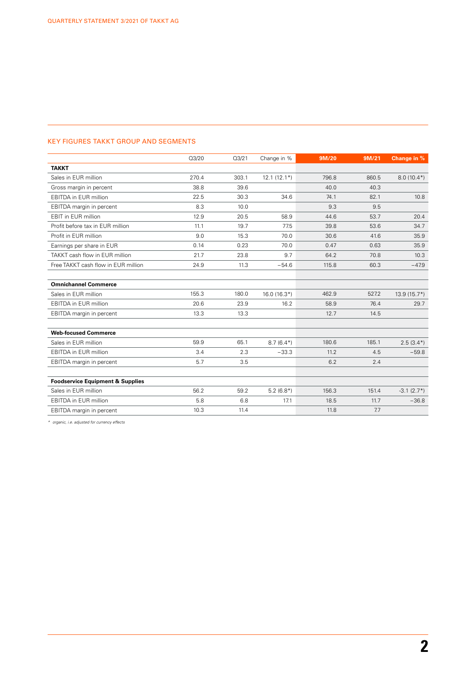#### KEY FIGURES TAKKT GROUP AND SEGMENTS

|                                             | Q3/20 | Q3/21 | Change in %   | 9M/20 | 9M/21 | Change in %   |
|---------------------------------------------|-------|-------|---------------|-------|-------|---------------|
| <b>TAKKT</b>                                |       |       |               |       |       |               |
| Sales in EUR million                        | 270.4 | 303.1 | $12.1(12.1*)$ | 796.8 | 860.5 | $8.0(10.4*)$  |
| Gross margin in percent                     | 38.8  | 39.6  |               | 40.0  | 40.3  |               |
| <b>EBITDA</b> in EUR million                | 22.5  | 30.3  | 34.6          | 74.1  | 82.1  | 10.8          |
| EBITDA margin in percent                    | 8.3   | 10.0  |               | 9.3   | 9.5   |               |
| <b>EBIT</b> in EUR million                  | 12.9  | 20.5  | 58.9          | 44.6  | 53.7  | 20.4          |
| Profit before tax in EUR million            | 11.1  | 19.7  | 77.5          | 39.8  | 53.6  | 34.7          |
| Profit in EUR million                       | 9.0   | 15.3  | 70.0          | 30.6  | 41.6  | 35.9          |
| Earnings per share in EUR                   | 0.14  | 0.23  | 70.0          | 0.47  | 0.63  | 35.9          |
| TAKKT cash flow in EUR million              | 21.7  | 23.8  | 9.7           | 64.2  | 70.8  | 10.3          |
| Free TAKKT cash flow in EUR million         | 24.9  | 11.3  | $-54.6$       | 115.8 | 60.3  | $-47.9$       |
|                                             |       |       |               |       |       |               |
| <b>Omnichannel Commerce</b>                 |       |       |               |       |       |               |
| Sales in EUR million                        | 155.3 | 180.0 | $16.0(16.3*)$ | 462.9 | 527.2 | $13.9(15.7*)$ |
| <b>EBITDA</b> in EUR million                | 20.6  | 23.9  | 16.2          | 58.9  | 76.4  | 29.7          |
| EBITDA margin in percent                    | 13.3  | 13.3  |               | 12.7  | 14.5  |               |
|                                             |       |       |               |       |       |               |
| <b>Web-focused Commerce</b>                 |       |       |               |       |       |               |
| Sales in EUR million                        | 59.9  | 65.1  | $8.7(6.4*)$   | 180.6 | 185.1 | $2.5(3.4*)$   |
| <b>EBITDA</b> in EUR million                | 3.4   | 2.3   | $-33.3$       | 11.2  | 4.5   | $-59.8$       |
| EBITDA margin in percent                    | 5.7   | 3.5   |               | 6.2   | 2.4   |               |
|                                             |       |       |               |       |       |               |
| <b>Foodservice Equipment &amp; Supplies</b> |       |       |               |       |       |               |
| Sales in EUR million                        | 56.2  | 59.2  | $5.2(6.8*)$   | 156.3 | 151.4 | $-3.1(2.7*)$  |
| <b>EBITDA</b> in EUR million                | 5.8   | 6.8   | 17.1          | 18.5  | 11.7  | $-36.8$       |
| EBITDA margin in percent                    | 10.3  | 11.4  |               | 11.8  | 7.7   |               |

*\* organic, i.e. adjusted for currency effects*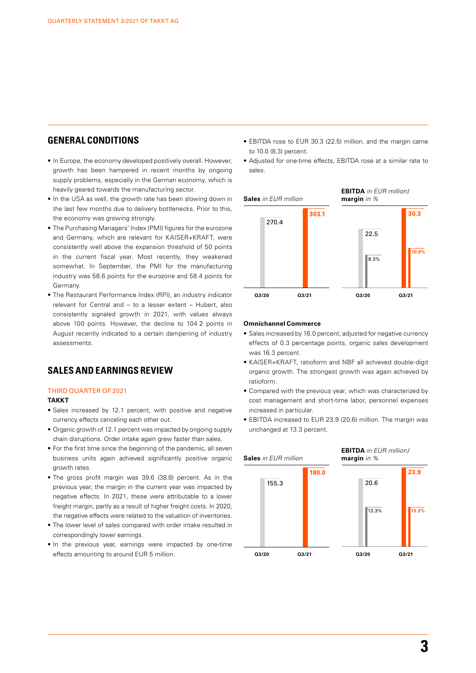### **GENERAL CONDITIONS**

- In Europe, the economy developed positively overall. However, growth has been hampered in recent months by ongoing supply problems, especially in the German economy, which is heavily geared towards the manufacturing sector.
- In the USA as well, the growth rate has been slowing down in the last few months due to delivery bottlenecks. Prior to this, the economy was growing strongly.
- The Purchasing Managers' Index (PMI) figures for the eurozone and Germany, which are relevant for KAISER+KRAFT, were consistently well above the expansion threshold of 50 points in the current fiscal year. Most recently, they weakened somewhat. In September, the PMI for the manufacturing industry was 58.6 points for the eurozone and 58.4 points for Germany.
- The Restaurant Performance Index (RPI), an industry indicator relevant for Central and – to a lesser extent – Hubert, also consistently signaled growth in 2021, with values always above 100 points. However, the decline to 104.2 points in August recently indicated to a certain dampening of industry assessments.

### **SALES AND EARNINGS REVIEW**

#### THIRD QUARTER OF 2021

#### **TAKKT**

- Sales increased by 12.1 percent, with positive and negative currency effects canceling each other out.
- Organic growth of 12.1 percent was impacted by ongoing supply chain disruptions. Order intake again grew faster than sales.
- For the first time since the beginning of the pandemic, all seven business units again achieved significantly positive organic growth rates.
- The gross profit margin was 39.6 (38.8) percent. As in the previous year, the margin in the current year was impacted by negative effects. In 2021, these were attributable to a lower freight margin, partly as a result of higher freight costs. In 2020, the negative effects were related to the valuation of inventories.
- The lower level of sales compared with order intake resulted in correspondingly lower earnings.
- In the previous year, earnings were impacted by one-time effects amounting to around EUR 5 million.
- EBITDA rose to EUR 30.3 (22.5) million, and the margin came to 10.0 (8.3) percent.
- Adjusted for one-time effects, EBITDA rose at a similar rate to sales.



#### **Omnichannel Commerce**

- Sales increased by 16.0 percent; adjusted for negative currency effects of 0.3 percentage points, organic sales development was 16.3 percent.
- KAISER+KRAFT, ratioform and NBF all achieved double-digit organic growth. The strongest growth was again achieved by ratioform.
- Compared with the previous year, which was characterized by cost management and short-time labor, personnel expenses increased in particular.
- EBITDA increased to EUR 23.9 (20.6) million. The margin was unchanged at 13.3 percent.

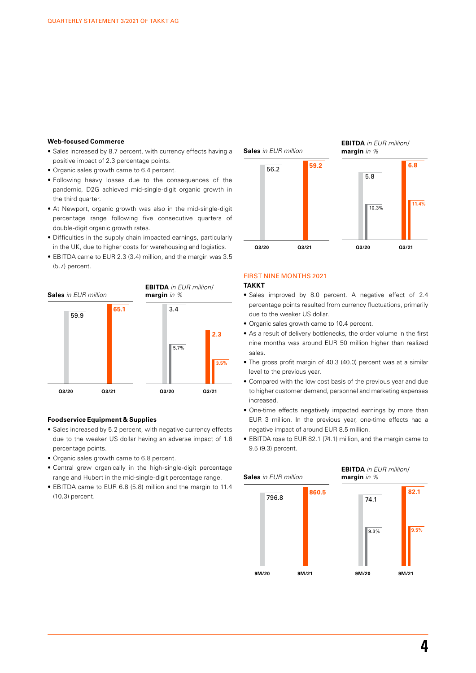#### **Web-focused Commerce**

- Sales increased by 8.7 percent, with currency effects having a positive impact of 2.3 percentage points.
- Organic sales growth came to 6.4 percent.
- Following heavy losses due to the consequences of the pandemic, D2G achieved mid-single-digit organic growth in the third quarter.
- At Newport, organic growth was also in the mid-single-digit percentage range following five consecutive quarters of double-digit organic growth rates.
- Difficulties in the supply chain impacted earnings, particularly in the UK, due to higher costs for warehousing and logistics.
- EBITDA came to EUR 2.3 (3.4) million, and the margin was 3.5 (5.7) percent.



#### **Foodservice Equipment & Supplies**

- Sales increased by 5.2 percent, with negative currency effects due to the weaker US dollar having an adverse impact of 1.6 percentage points.
- Organic sales growth came to 6.8 percent.
- Central grew organically in the high-single-digit percentage range and Hubert in the mid-single-digit percentage range.
- EBITDA came to EUR 6.8 (5.8) million and the margin to 11.4 (10.3) percent.



#### FIRST NINE MONTHS 2021

#### **TAKKT**

- Sales improved by 8.0 percent. A negative effect of 2.4 percentage points resulted from currency fluctuations, primarily due to the weaker US dollar.
- Organic sales growth came to 10.4 percent.
- As a result of delivery bottlenecks, the order volume in the first nine months was around EUR 50 million higher than realized sales.
- The gross profit margin of 40.3 (40.0) percent was at a similar level to the previous year.
- Compared with the low cost basis of the previous year and due to higher customer demand, personnel and marketing expenses increased.
- One-time effects negatively impacted earnings by more than EUR 3 million. In the previous year, one-time effects had a negative impact of around EUR 8.5 million.
- EBITDA rose to EUR 82.1 (74.1) million, and the margin came to 9.5 (9.3) percent.

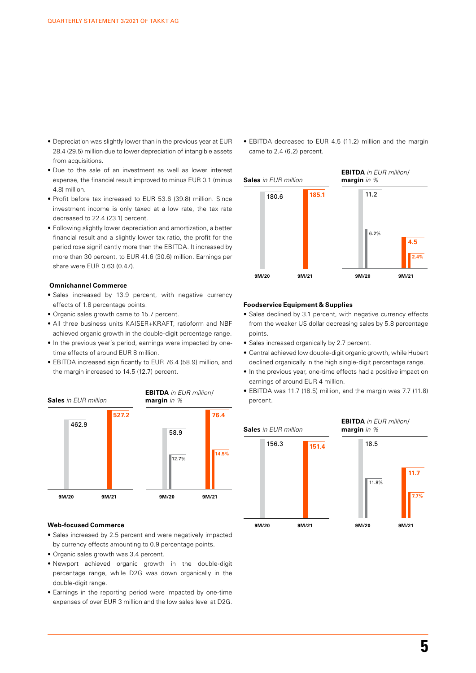- Depreciation was slightly lower than in the previous year at EUR 28.4 (29.5) million due to lower depreciation of intangible assets from acquisitions.
- Due to the sale of an investment as well as lower interest expense, the financial result improved to minus EUR 0.1 (minus 4.8) million.
- Profit before tax increased to EUR 53.6 (39.8) million. Since investment income is only taxed at a low rate, the tax rate decreased to 22.4 (23.1) percent.
- Following slightly lower depreciation and amortization, a better financial result and a slightly lower tax ratio, the profit for the period rose significantly more than the EBITDA. It increased by more than 30 percent, to EUR 41.6 (30.6) million. Earnings per share were EUR 0.63 (0.47).

#### **Omnichannel Commerce**

- Sales increased by 13.9 percent, with negative currency effects of 1.8 percentage points.
- Organic sales growth came to 15.7 percent.
- All three business units KAISER+KRAFT, ratioform and NBF achieved organic growth in the double-digit percentage range.
- In the previous year's period, earnings were impacted by onetime effects of around EUR 8 million.
- EBITDA increased significantly to EUR 76.4 (58.9) million, and the margin increased to 14.5 (12.7) percent.



#### **Web-focused Commerce**

- Sales increased by 2.5 percent and were negatively impacted by currency effects amounting to 0.9 percentage points.
- Organic sales growth was 3.4 percent.
- Newport achieved organic growth in the double-digit percentage range, while D2G was down organically in the double-digit range.
- Earnings in the reporting period were impacted by one-time expenses of over EUR 3 million and the low sales level at D2G.

• EBITDA decreased to EUR 4.5 (11.2) million and the margin came to 2.4 (6.2) percent.



#### **Foodservice Equipment & Supplies**

- Sales declined by 3.1 percent, with negative currency effects from the weaker US dollar decreasing sales by 5.8 percentage points.
- Sales increased organically by 2.7 percent.
- Central achieved low double-digit organic growth, while Hubert declined organically in the high single-digit percentage range.
- In the previous year, one-time effects had a positive impact on earnings of around EUR 4 million.
- EBITDA was 11.7 (18.5) million, and the margin was 7.7 (11.8) percent.

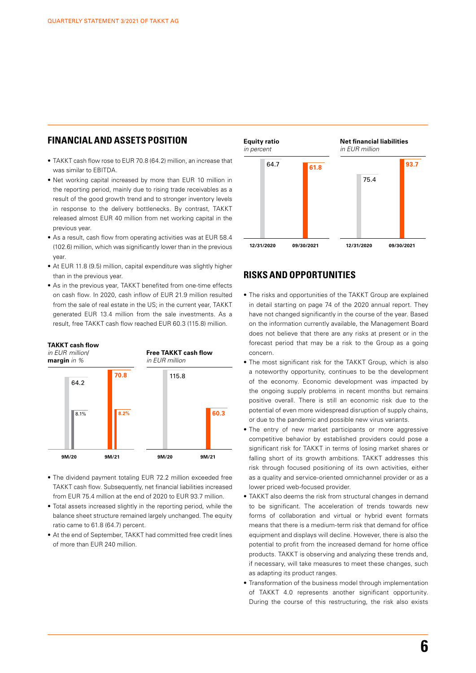### **FINANCIAL AND ASSETS POSITION**

- TAKKT cash flow rose to EUR 70.8 (64.2) million, an increase that was similar to EBITDA.
- Net working capital increased by more than EUR 10 million in the reporting period, mainly due to rising trade receivables as a result of the good growth trend and to stronger inventory levels in response to the delivery bottlenecks. By contrast, TAKKT released almost EUR 40 million from net working capital in the previous year.
- As a result, cash flow from operating activities was at EUR 58.4 (102.6) million, which was significantly lower than in the previous year.
- At EUR 11.8 (9.5) million, capital expenditure was slightly higher than in the previous year.
- As in the previous year, TAKKT benefited from one-time effects on cash flow. In 2020, cash inflow of EUR 21.9 million resulted from the sale of real estate in the US; in the current year, TAKKT generated EUR 13.4 million from the sale investments. As a result, free TAKKT cash flow reached EUR 60.3 (115.8) million.



- The dividend payment totaling EUR 72.2 million exceeded free TAKKT cash flow. Subsequently, net financial liabilities increased from EUR 75.4 million at the end of 2020 to EUR 93.7 million.
- Total assets increased slightly in the reporting period, while the balance sheet structure remained largely unchanged. The equity ratio came to 61.8 (64.7) percent.
- At the end of September, TAKKT had committed free credit lines of more than EUR 240 million.



### **RISKS AND OPPORTUNITIES**

- The risks and opportunities of the TAKKT Group are explained in detail starting on page 74 of the 2020 annual report. They have not changed significantly in the course of the year. Based on the information currently available, the Management Board does not believe that there are any risks at present or in the forecast period that may be a risk to the Group as a going concern.
- The most significant risk for the TAKKT Group, which is also a noteworthy opportunity, continues to be the development of the economy. Economic development was impacted by the ongoing supply problems in recent months but remains positive overall. There is still an economic risk due to the potential of even more widespread disruption of supply chains, or due to the pandemic and possible new virus variants.
- The entry of new market participants or more aggressive competitive behavior by established providers could pose a significant risk for TAKKT in terms of losing market shares or falling short of its growth ambitions. TAKKT addresses this risk through focused positioning of its own activities, either as a quality and service-oriented omnichannel provider or as a lower priced web-focused provider.
- TAKKT also deems the risk from structural changes in demand to be significant. The acceleration of trends towards new forms of collaboration and virtual or hybrid event formats means that there is a medium-term risk that demand for office equipment and displays will decline. However, there is also the potential to profit from the increased demand for home office products. TAKKT is observing and analyzing these trends and, if necessary, will take measures to meet these changes, such as adapting its product ranges.
- Transformation of the business model through implementation of TAKKT 4.0 represents another significant opportunity. During the course of this restructuring, the risk also exists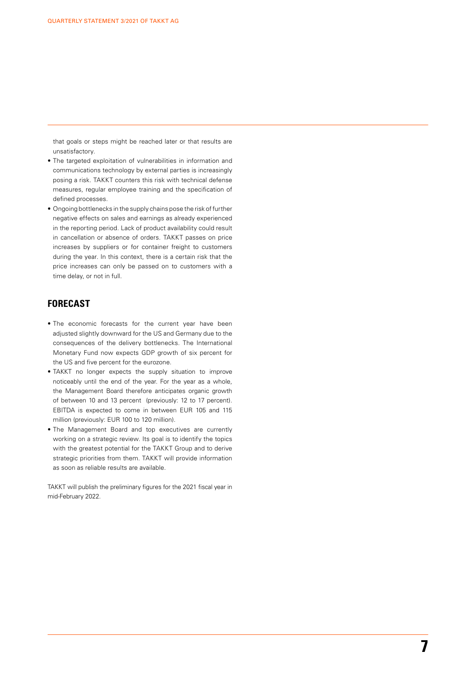that goals or steps might be reached later or that results are unsatisfactory.

- The targeted exploitation of vulnerabilities in information and communications technology by external parties is increasingly posing a risk. TAKKT counters this risk with technical defense measures, regular employee training and the specification of defined processes.
- Ongoing bottlenecks in the supply chains pose the risk of further negative effects on sales and earnings as already experienced in the reporting period. Lack of product availability could result in cancellation or absence of orders. TAKKT passes on price increases by suppliers or for container freight to customers during the year. In this context, there is a certain risk that the price increases can only be passed on to customers with a time delay, or not in full.

### **FORECAST**

- The economic forecasts for the current year have been adjusted slightly downward for the US and Germany due to the consequences of the delivery bottlenecks. The International Monetary Fund now expects GDP growth of six percent for the US and five percent for the eurozone.
- TAKKT no longer expects the supply situation to improve noticeably until the end of the year. For the year as a whole, the Management Board therefore anticipates organic growth of between 10 and 13 percent (previously: 12 to 17 percent). EBITDA is expected to come in between EUR 105 and 115 million (previously: EUR 100 to 120 million).
- The Management Board and top executives are currently working on a strategic review. Its goal is to identify the topics with the greatest potential for the TAKKT Group and to derive strategic priorities from them. TAKKT will provide information as soon as reliable results are available.

TAKKT will publish the preliminary figures for the 2021 fiscal year in mid-February 2022.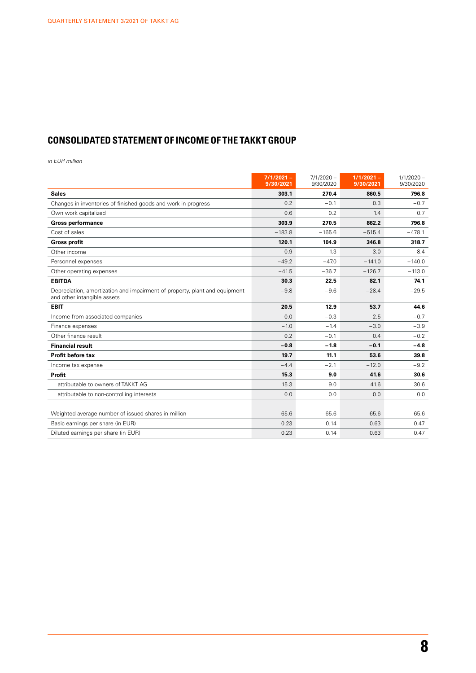# **CONSOLIDATED STATEMENT OF INCOME OF THE TAKKT GROUP**

|                                                                                                           | $7/1/2021 -$<br>9/30/2021 | $7/1/2020 -$<br>9/30/2020 | $1/1/2021 -$<br>9/30/2021 | $1/1/2020 -$<br>9/30/2020 |
|-----------------------------------------------------------------------------------------------------------|---------------------------|---------------------------|---------------------------|---------------------------|
| <b>Sales</b>                                                                                              | 303.1                     | 270.4                     | 860.5                     | 796.8                     |
| Changes in inventories of finished goods and work in progress                                             | 0.2                       | $-0.1$                    | 0.3                       | $-0.7$                    |
| Own work capitalized                                                                                      | 0.6                       | 0.2                       | 1.4                       | 0.7                       |
| <b>Gross performance</b>                                                                                  | 303.9                     | 270.5                     | 862.2                     | 796.8                     |
| Cost of sales                                                                                             | $-183.8$                  | $-165.6$                  | $-515.4$                  | $-478.1$                  |
| <b>Gross profit</b>                                                                                       | 120.1                     | 104.9                     | 346.8                     | 318.7                     |
| Other income                                                                                              | 0.9                       | 1.3                       | 3.0                       | 8.4                       |
| Personnel expenses                                                                                        | $-49.2$                   | $-47.0$                   | $-141.0$                  | $-140.0$                  |
| Other operating expenses                                                                                  | $-41.5$                   | $-36.7$                   | $-126.7$                  | $-113.0$                  |
| <b>EBITDA</b>                                                                                             | 30.3                      | 22.5                      | 82.1                      | 74.1                      |
| Depreciation, amortization and impairment of property, plant and equipment<br>and other intangible assets | $-9.8$                    | $-9.6$                    | $-28.4$                   | $-29.5$                   |
| <b>EBIT</b>                                                                                               | 20.5                      | 12.9                      | 53.7                      | 44.6                      |
| Income from associated companies                                                                          | 0.0                       | $-0.3$                    | 2.5                       | $-0.7$                    |
| Finance expenses                                                                                          | $-1.0$                    | $-1.4$                    | $-3.0$                    | $-3.9$                    |
| Other finance result                                                                                      | 0.2                       | $-0.1$                    | 0.4                       | $-0.2$                    |
| <b>Financial result</b>                                                                                   | $-0.8$                    | $-1.8$                    | $-0.1$                    | $-4.8$                    |
| Profit before tax                                                                                         | 19.7                      | 11.1                      | 53.6                      | 39.8                      |
| Income tax expense                                                                                        | $-4.4$                    | $-2.1$                    | $-12.0$                   | $-9.2$                    |
| Profit                                                                                                    | 15.3                      | 9.0                       | 41.6                      | 30.6                      |
| attributable to owners of TAKKT AG                                                                        | 15.3                      | 9.0                       | 41.6                      | 30.6                      |
| attributable to non-controlling interests                                                                 | 0.0                       | 0.0                       | 0.0                       | 0.0                       |
|                                                                                                           |                           |                           |                           |                           |
| Weighted average number of issued shares in million                                                       | 65.6                      | 65.6                      | 65.6                      | 65.6                      |
| Basic earnings per share (in EUR)                                                                         | 0.23                      | 0.14                      | 0.63                      | 0.47                      |
| Diluted earnings per share (in EUR)                                                                       | 0.23                      | 0.14                      | 0.63                      | 0.47                      |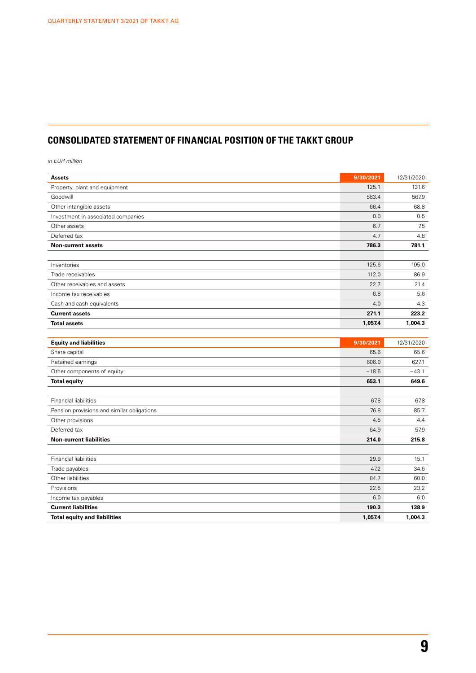# **CONSOLIDATED STATEMENT OF FINANCIAL POSITION OF THE TAKKT GROUP**

| <b>Assets</b>                              | 9/30/2021 | 12/31/2020 |
|--------------------------------------------|-----------|------------|
| Property, plant and equipment              | 125.1     | 131.6      |
| Goodwill                                   | 583.4     | 567.9      |
| Other intangible assets                    | 66.4      | 68.8       |
| Investment in associated companies         | 0.0       | 0.5        |
| Other assets                               | 6.7       | 7.5        |
| Deferred tax                               | 4.7       | 4.8        |
| <b>Non-current assets</b>                  | 786.3     | 781.1      |
|                                            |           |            |
| Inventories                                | 125.6     | 105.0      |
| Trade receivables                          | 112.0     | 86.9       |
| Other receivables and assets               | 22.7      | 21.4       |
| Income tax receivables                     | 6.8       | 5.6        |
| Cash and cash equivalents                  | 4.0       | 4.3        |
| <b>Current assets</b>                      | 271.1     | 223.2      |
| <b>Total assets</b>                        | 1,057.4   | 1,004.3    |
|                                            |           |            |
| <b>Equity and liabilities</b>              | 9/30/2021 | 12/31/2020 |
| Share capital                              | 65.6      | 65.6       |
| Retained earnings                          | 606.0     | 627.1      |
| Other components of equity                 | $-18.5$   | $-43.1$    |
| <b>Total equity</b>                        | 653.1     | 649.6      |
|                                            |           |            |
| <b>Financial liabilities</b>               | 67.8      | 67.8       |
| Pension provisions and similar obligations | 76.8      | 85.7       |
| Other provisions                           | 4.5       | 4.4        |
| Deferred tax                               | 64.9      | 57.9       |
| <b>Non-current liabilities</b>             | 214.0     | 215.8      |
|                                            |           |            |
| <b>Financial liabilities</b>               | 29.9      | 15.1       |
| Trade payables                             | 47.2      | 34.6       |
| Other liabilities                          | 84.7      | 60.0       |
| Provisions                                 | 22.5      | 23.2       |
| Income tax payables                        | 6.0       | 6.0        |
| <b>Current liabilities</b>                 | 190.3     | 138.9      |
| <b>Total equity and liabilities</b>        | 1,057.4   | 1,004.3    |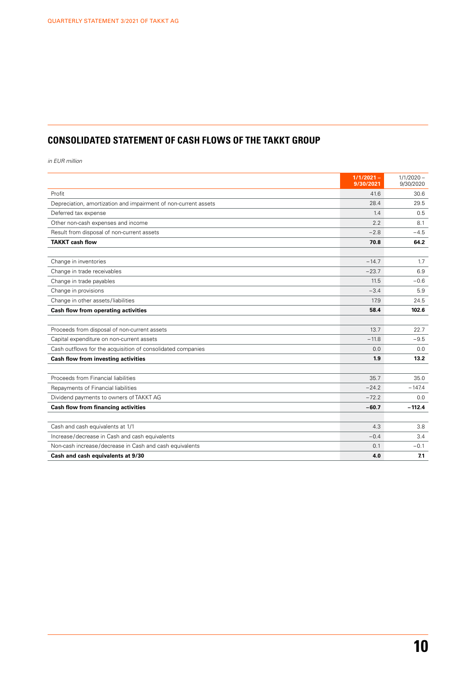# **CONSOLIDATED STATEMENT OF CASH FLOWS OF THE TAKKT GROUP**

|                                                                 | $1/1/2021 -$<br>9/30/2021 | $1/1/2020 -$<br>9/30/2020 |
|-----------------------------------------------------------------|---------------------------|---------------------------|
| Profit                                                          | 41.6                      | 30.6                      |
| Depreciation, amortization and impairment of non-current assets | 28.4                      | 29.5                      |
| Deferred tax expense                                            | 1.4                       | 0.5                       |
| Other non-cash expenses and income                              | 2.2                       | 8.1                       |
| Result from disposal of non-current assets                      | $-2.8$                    | $-4.5$                    |
| <b>TAKKT cash flow</b>                                          | 70.8                      | 64.2                      |
|                                                                 |                           |                           |
| Change in inventories                                           | $-14.7$                   | 1.7                       |
| Change in trade receivables                                     | $-23.7$                   | 6.9                       |
| Change in trade payables                                        | 11.5                      | $-0.6$                    |
| Change in provisions                                            | $-3.4$                    | 5.9                       |
| Change in other assets/liabilities                              | 17.9                      | 24.5                      |
| Cash flow from operating activities                             | 58.4                      | 102.6                     |
|                                                                 |                           |                           |
| Proceeds from disposal of non-current assets                    | 13.7                      | 22.7                      |
| Capital expenditure on non-current assets                       | $-11.8$                   | $-9.5$                    |
| Cash outflows for the acquisition of consolidated companies     | 0.0                       | 0.0                       |
| Cash flow from investing activities                             | 1.9                       | 13.2                      |
|                                                                 |                           |                           |
| Proceeds from Financial liabilities                             | 35.7                      | 35.0                      |
| Repayments of Financial liabilities                             | $-24.2$                   | $-147.4$                  |
| Dividend payments to owners of TAKKT AG                         | $-72.2$                   | 0.0                       |
| <b>Cash flow from financing activities</b>                      | $-60.7$                   | $-112.4$                  |
|                                                                 |                           |                           |
| Cash and cash equivalents at 1/1                                | 4.3                       | 3.8                       |
| Increase/decrease in Cash and cash equivalents                  | $-0.4$                    | 3.4                       |
| Non-cash increase/decrease in Cash and cash equivalents         | 0.1                       | $-0.1$                    |
| Cash and cash equivalents at 9/30                               | 4.0                       | 7.1                       |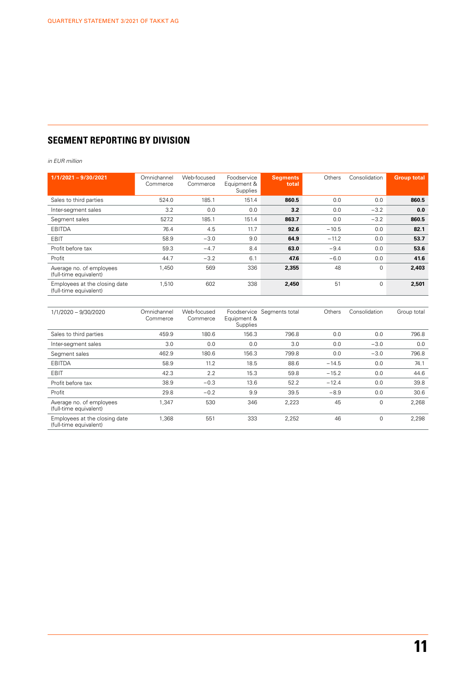# **SEGMENT REPORTING BY DIVISION**

| $1/1/2021 - 9/30/2021$                                  | Omnichannel<br>Commerce | Web-focused<br>Commerce | Foodservice<br>Equipment &<br><b>Supplies</b> | <b>Segments</b><br>total | Others  | Consolidation | <b>Group total</b> |
|---------------------------------------------------------|-------------------------|-------------------------|-----------------------------------------------|--------------------------|---------|---------------|--------------------|
| Sales to third parties                                  | 524.0                   | 185.1                   | 151.4                                         | 860.5                    | 0.0     | 0.0           | 860.5              |
| Inter-segment sales                                     | 3.2                     | 0.0                     | 0.0                                           | 3.2                      | 0.0     | $-3.2$        | 0.0                |
| Segment sales                                           | 527.2                   | 185.1                   | 151.4                                         | 863.7                    | 0.0     | $-3.2$        | 860.5              |
| EBITDA                                                  | 76.4                    | 4.5                     | 11.7                                          | 92.6                     | $-10.5$ | 0.0           | 82.1               |
| EBIT                                                    | 58.9                    | $-3.0$                  | 9.0                                           | 64.9                     | $-11.2$ | 0.0           | 53.7               |
| Profit before tax                                       | 59.3                    | $-4.7$                  | 8.4                                           | 63.0                     | $-9.4$  | 0.0           | 53.6               |
| Profit                                                  | 44.7                    | $-3.2$                  | 6.1                                           | 47.6                     | $-6.0$  | 0.0           | 41.6               |
| Average no. of employees<br>(full-time equivalent)      | 1,450                   | 569                     | 336                                           | 2,355                    | 48      | $\mathbf 0$   | 2,403              |
| Employees at the closing date<br>(full-time equivalent) | 1,510                   | 602                     | 338                                           | 2,450                    | 51      | $\mathbf 0$   | 2,501              |

| 1/1/2020 - 9/30/2020                                    | Omnichannel<br>Commerce | Web-focused<br>Commerce | Equipment &<br>Supplies | Foodservice Segments total | Others  | Consolidation | Group total |
|---------------------------------------------------------|-------------------------|-------------------------|-------------------------|----------------------------|---------|---------------|-------------|
| Sales to third parties                                  | 459.9                   | 180.6                   | 156.3                   | 796.8                      | 0.0     | 0.0           | 796.8       |
| Inter-segment sales                                     | 3.0                     | 0.0                     | 0.0                     | 3.0                        | 0.0     | $-3.0$        | 0.0         |
| Segment sales                                           | 462.9                   | 180.6                   | 156.3                   | 799.8                      | 0.0     | $-3.0$        | 796.8       |
| EBITDA                                                  | 58.9                    | 11.2                    | 18.5                    | 88.6                       | $-14.5$ | 0.0           | 74.1        |
| <b>EBIT</b>                                             | 42.3                    | 2.2                     | 15.3                    | 59.8                       | $-15.2$ | 0.0           | 44.6        |
| Profit before tax                                       | 38.9                    | $-0.3$                  | 13.6                    | 52.2                       | $-12.4$ | 0.0           | 39.8        |
| Profit                                                  | 29.8                    | $-0.2$                  | 9.9                     | 39.5                       | $-8.9$  | 0.0           | 30.6        |
| Average no. of employees<br>(full-time equivalent)      | 1,347                   | 530                     | 346                     | 2,223                      | 45      | 0             | 2.268       |
| Employees at the closing date<br>(full-time equivalent) | 1.368                   | 551                     | 333                     | 2,252                      | 46      | $\mathbf 0$   | 2.298       |